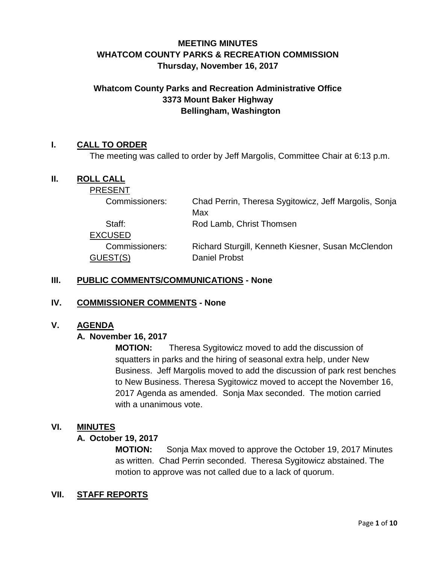# **MEETING MINUTES WHATCOM COUNTY PARKS & RECREATION COMMISSION Thursday, November 16, 2017**

# **Whatcom County Parks and Recreation Administrative Office 3373 Mount Baker Highway Bellingham, Washington**

## **I. CALL TO ORDER**

The meeting was called to order by Jeff Margolis, Committee Chair at 6:13 p.m.

### **II. ROLL CALL**

| <b>PRESENT</b> |                                                       |
|----------------|-------------------------------------------------------|
| Commissioners: | Chad Perrin, Theresa Sygitowicz, Jeff Margolis, Sonja |
|                | Max                                                   |
| Staff:         | Rod Lamb, Christ Thomsen                              |
| <b>EXCUSED</b> |                                                       |
| Commissioners: | Richard Sturgill, Kenneth Kiesner, Susan McClendon    |
| GUEST(S)       | <b>Daniel Probst</b>                                  |
|                |                                                       |

### **III. PUBLIC COMMENTS/COMMUNICATIONS - None**

#### **IV. COMMISSIONER COMMENTS - None**

#### **V. AGENDA**

### **A. November 16, 2017**

**MOTION:** Theresa Sygitowicz moved to add the discussion of squatters in parks and the hiring of seasonal extra help, under New Business. Jeff Margolis moved to add the discussion of park rest benches to New Business. Theresa Sygitowicz moved to accept the November 16, 2017 Agenda as amended. Sonja Max seconded. The motion carried with a unanimous vote.

#### **VI. MINUTES**

#### **A. October 19, 2017**

**MOTION:** Sonja Max moved to approve the October 19, 2017 Minutes as written. Chad Perrin seconded. Theresa Sygitowicz abstained. The motion to approve was not called due to a lack of quorum.

### **VII. STAFF REPORTS**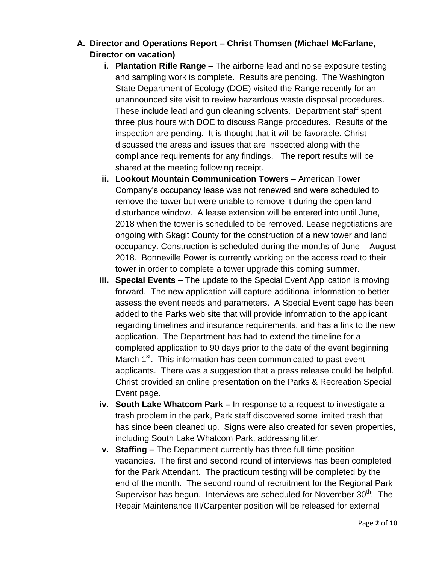# **A. Director and Operations Report – Christ Thomsen (Michael McFarlane, Director on vacation)**

- **i. Plantation Rifle Range –** The airborne lead and noise exposure testing and sampling work is complete. Results are pending. The Washington State Department of Ecology (DOE) visited the Range recently for an unannounced site visit to review hazardous waste disposal procedures. These include lead and gun cleaning solvents. Department staff spent three plus hours with DOE to discuss Range procedures. Results of the inspection are pending. It is thought that it will be favorable. Christ discussed the areas and issues that are inspected along with the compliance requirements for any findings. The report results will be shared at the meeting following receipt.
- **ii. Lookout Mountain Communication Towers –** American Tower Company's occupancy lease was not renewed and were scheduled to remove the tower but were unable to remove it during the open land disturbance window. A lease extension will be entered into until June, 2018 when the tower is scheduled to be removed. Lease negotiations are ongoing with Skagit County for the construction of a new tower and land occupancy. Construction is scheduled during the months of June – August 2018. Bonneville Power is currently working on the access road to their tower in order to complete a tower upgrade this coming summer.
- **iii. Special Events –** The update to the Special Event Application is moving forward. The new application will capture additional information to better assess the event needs and parameters. A Special Event page has been added to the Parks web site that will provide information to the applicant regarding timelines and insurance requirements, and has a link to the new application. The Department has had to extend the timeline for a completed application to 90 days prior to the date of the event beginning March 1<sup>st</sup>. This information has been communicated to past event applicants. There was a suggestion that a press release could be helpful. Christ provided an online presentation on the Parks & Recreation Special Event page.
- **iv. South Lake Whatcom Park –** In response to a request to investigate a trash problem in the park, Park staff discovered some limited trash that has since been cleaned up. Signs were also created for seven properties, including South Lake Whatcom Park, addressing litter.
- **v. Staffing –** The Department currently has three full time position vacancies. The first and second round of interviews has been completed for the Park Attendant. The practicum testing will be completed by the end of the month. The second round of recruitment for the Regional Park Supervisor has begun. Interviews are scheduled for November  $30<sup>th</sup>$ . The Repair Maintenance III/Carpenter position will be released for external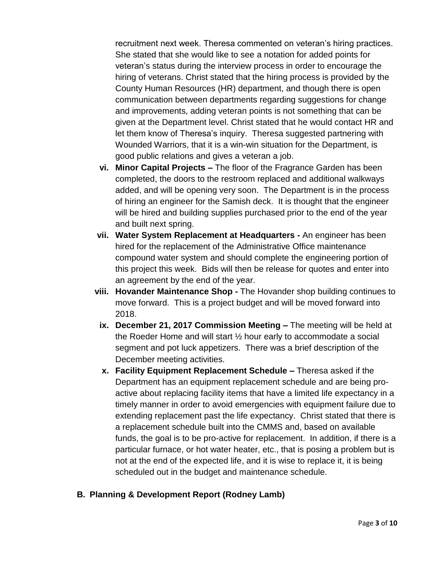recruitment next week. Theresa commented on veteran's hiring practices. She stated that she would like to see a notation for added points for veteran's status during the interview process in order to encourage the hiring of veterans. Christ stated that the hiring process is provided by the County Human Resources (HR) department, and though there is open communication between departments regarding suggestions for change and improvements, adding veteran points is not something that can be given at the Department level. Christ stated that he would contact HR and let them know of Theresa's inquiry. Theresa suggested partnering with Wounded Warriors, that it is a win-win situation for the Department, is good public relations and gives a veteran a job.

- **vi. Minor Capital Projects –** The floor of the Fragrance Garden has been completed, the doors to the restroom replaced and additional walkways added, and will be opening very soon. The Department is in the process of hiring an engineer for the Samish deck. It is thought that the engineer will be hired and building supplies purchased prior to the end of the year and built next spring.
- **vii. Water System Replacement at Headquarters -** An engineer has been hired for the replacement of the Administrative Office maintenance compound water system and should complete the engineering portion of this project this week. Bids will then be release for quotes and enter into an agreement by the end of the year.
- **viii. Hovander Maintenance Shop -** The Hovander shop building continues to move forward. This is a project budget and will be moved forward into 2018.
- **ix. December 21, 2017 Commission Meeting –** The meeting will be held at the Roeder Home and will start ½ hour early to accommodate a social segment and pot luck appetizers. There was a brief description of the December meeting activities.
- **x. Facility Equipment Replacement Schedule –** Theresa asked if the Department has an equipment replacement schedule and are being proactive about replacing facility items that have a limited life expectancy in a timely manner in order to avoid emergencies with equipment failure due to extending replacement past the life expectancy. Christ stated that there is a replacement schedule built into the CMMS and, based on available funds, the goal is to be pro-active for replacement. In addition, if there is a particular furnace, or hot water heater, etc., that is posing a problem but is not at the end of the expected life, and it is wise to replace it, it is being scheduled out in the budget and maintenance schedule.
- **B. Planning & Development Report (Rodney Lamb)**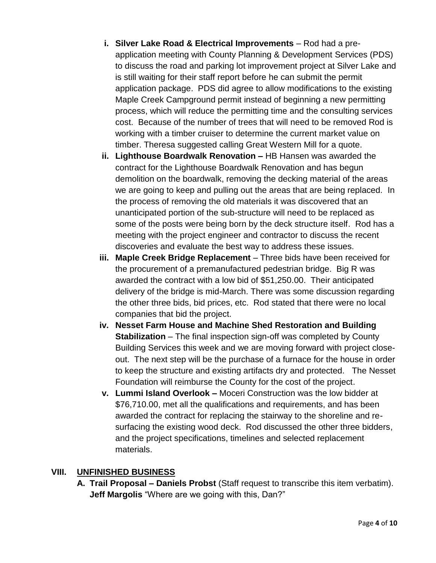- **i.** Silver Lake Road & Electrical Improvements Rod had a preapplication meeting with County Planning & Development Services (PDS) to discuss the road and parking lot improvement project at Silver Lake and is still waiting for their staff report before he can submit the permit application package. PDS did agree to allow modifications to the existing Maple Creek Campground permit instead of beginning a new permitting process, which will reduce the permitting time and the consulting services cost. Because of the number of trees that will need to be removed Rod is working with a timber cruiser to determine the current market value on timber. Theresa suggested calling Great Western Mill for a quote.
- **ii. Lighthouse Boardwalk Renovation –** HB Hansen was awarded the contract for the Lighthouse Boardwalk Renovation and has begun demolition on the boardwalk, removing the decking material of the areas we are going to keep and pulling out the areas that are being replaced. In the process of removing the old materials it was discovered that an unanticipated portion of the sub-structure will need to be replaced as some of the posts were being born by the deck structure itself. Rod has a meeting with the project engineer and contractor to discuss the recent discoveries and evaluate the best way to address these issues.
- **iii.** Maple Creek Bridge Replacement Three bids have been received for the procurement of a premanufactured pedestrian bridge. Big R was awarded the contract with a low bid of \$51,250.00. Their anticipated delivery of the bridge is mid-March. There was some discussion regarding the other three bids, bid prices, etc. Rod stated that there were no local companies that bid the project.
- **iv. Nesset Farm House and Machine Shed Restoration and Building Stabilization** – The final inspection sign-off was completed by County Building Services this week and we are moving forward with project closeout. The next step will be the purchase of a furnace for the house in order to keep the structure and existing artifacts dry and protected. The Nesset Foundation will reimburse the County for the cost of the project.
- **v. Lummi Island Overlook –** Moceri Construction was the low bidder at \$76,710.00, met all the qualifications and requirements, and has been awarded the contract for replacing the stairway to the shoreline and resurfacing the existing wood deck. Rod discussed the other three bidders, and the project specifications, timelines and selected replacement materials.

## **VIII. UNFINISHED BUSINESS**

**A. Trail Proposal – Daniels Probst** (Staff request to transcribe this item verbatim). **Jeff Margolis** "Where are we going with this, Dan?"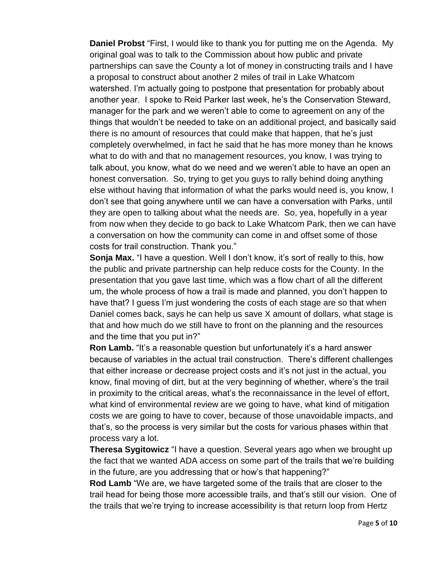**Daniel Probst** "First, I would like to thank you for putting me on the Agenda. My original goal was to talk to the Commission about how public and private partnerships can save the County a lot of money in constructing trails and I have a proposal to construct about another 2 miles of trail in Lake Whatcom watershed. I'm actually going to postpone that presentation for probably about another year. I spoke to Reid Parker last week, he's the Conservation Steward, manager for the park and we weren't able to come to agreement on any of the things that wouldn't be needed to take on an additional project, and basically said there is no amount of resources that could make that happen, that he's just completely overwhelmed, in fact he said that he has more money than he knows what to do with and that no management resources, you know, I was trying to talk about, you know, what do we need and we weren't able to have an open an honest conversation. So, trying to get you guys to rally behind doing anything else without having that information of what the parks would need is, you know, I don't see that going anywhere until we can have a conversation with Parks, until they are open to talking about what the needs are. So, yea, hopefully in a year from now when they decide to go back to Lake Whatcom Park, then we can have a conversation on how the community can come in and offset some of those costs for trail construction. Thank you."

**Sonja Max.** "I have a question. Well I don't know, it's sort of really to this, how the public and private partnership can help reduce costs for the County. In the presentation that you gave last time, which was a flow chart of all the different um, the whole process of how a trail is made and planned, you don't happen to have that? I guess I'm just wondering the costs of each stage are so that when Daniel comes back, says he can help us save X amount of dollars, what stage is that and how much do we still have to front on the planning and the resources and the time that you put in?"

**Ron Lamb.** "It's a reasonable question but unfortunately it's a hard answer because of variables in the actual trail construction. There's different challenges that either increase or decrease project costs and it's not just in the actual, you know, final moving of dirt, but at the very beginning of whether, where's the trail in proximity to the critical areas, what's the reconnaissance in the level of effort, what kind of environmental review are we going to have, what kind of mitigation costs we are going to have to cover, because of those unavoidable impacts, and that's, so the process is very similar but the costs for various phases within that process vary a lot.

**Theresa Sygitowicz** "I have a question. Several years ago when we brought up the fact that we wanted ADA access on some part of the trails that we're building in the future, are you addressing that or how's that happening?"

**Rod Lamb** "We are, we have targeted some of the trails that are closer to the trail head for being those more accessible trails, and that's still our vision. One of the trails that we're trying to increase accessibility is that return loop from Hertz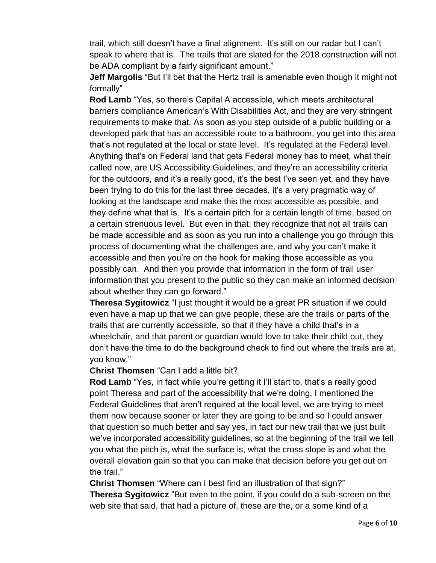trail, which still doesn't have a final alignment. It's still on our radar but I can't speak to where that is. The trails that are slated for the 2018 construction will not be ADA compliant by a fairly significant amount."

**Jeff Margolis** "But I'll bet that the Hertz trail is amenable even though it might not formally"

**Rod Lamb** "Yes, so there's Capital A accessible, which meets architectural barriers compliance American's With Disabilities Act, and they are very stringent requirements to make that. As soon as you step outside of a public building or a developed park that has an accessible route to a bathroom, you get into this area that's not regulated at the local or state level. It's regulated at the Federal level. Anything that's on Federal land that gets Federal money has to meet, what their called now, are US Accessibility Guidelines, and they're an accessibility criteria for the outdoors, and it's a really good, it's the best I've seen yet, and they have been trying to do this for the last three decades, it's a very pragmatic way of looking at the landscape and make this the most accessible as possible, and they define what that is. It's a certain pitch for a certain length of time, based on a certain strenuous level. But even in that, they recognize that not all trails can be made accessible and as soon as you run into a challenge you go through this process of documenting what the challenges are, and why you can't make it accessible and then you're on the hook for making those accessible as you possibly can. And then you provide that information in the form of trail user information that you present to the public so they can make an informed decision about whether they can go forward."

**Theresa Sygitowicz** "I just thought it would be a great PR situation if we could even have a map up that we can give people, these are the trails or parts of the trails that are currently accessible, so that if they have a child that's in a wheelchair, and that parent or guardian would love to take their child out, they don't have the time to do the background check to find out where the trails are at, you know."

### **Christ Thomsen** "Can I add a little bit?

**Rod Lamb** "Yes, in fact while you're getting it I'll start to, that's a really good point Theresa and part of the accessibility that we're doing, I mentioned the Federal Guidelines that aren't required at the local level, we are trying to meet them now because sooner or later they are going to be and so I could answer that question so much better and say yes, in fact our new trail that we just built we've incorporated accessibility guidelines, so at the beginning of the trail we tell you what the pitch is, what the surface is, what the cross slope is and what the overall elevation gain so that you can make that decision before you get out on the trail."

**Christ Thomsen** "Where can I best find an illustration of that sign?" **Theresa Sygitowicz** "But even to the point, if you could do a sub-screen on the web site that said, that had a picture of, these are the, or a some kind of a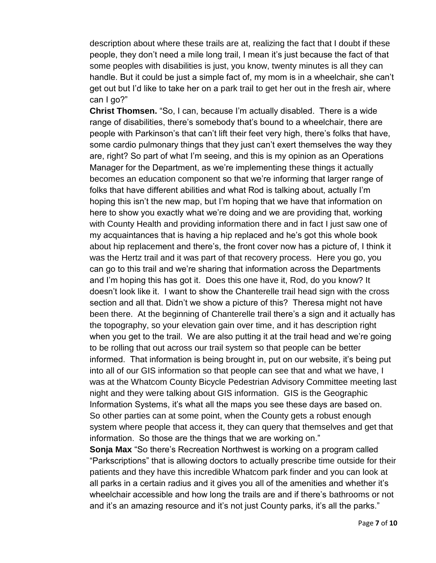description about where these trails are at, realizing the fact that I doubt if these people, they don't need a mile long trail, I mean it's just because the fact of that some peoples with disabilities is just, you know, twenty minutes is all they can handle. But it could be just a simple fact of, my mom is in a wheelchair, she can't get out but I'd like to take her on a park trail to get her out in the fresh air, where can I go?"

**Christ Thomsen.** "So, I can, because I'm actually disabled. There is a wide range of disabilities, there's somebody that's bound to a wheelchair, there are people with Parkinson's that can't lift their feet very high, there's folks that have, some cardio pulmonary things that they just can't exert themselves the way they are, right? So part of what I'm seeing, and this is my opinion as an Operations Manager for the Department, as we're implementing these things it actually becomes an education component so that we're informing that larger range of folks that have different abilities and what Rod is talking about, actually I'm hoping this isn't the new map, but I'm hoping that we have that information on here to show you exactly what we're doing and we are providing that, working with County Health and providing information there and in fact I just saw one of my acquaintances that is having a hip replaced and he's got this whole book about hip replacement and there's, the front cover now has a picture of, I think it was the Hertz trail and it was part of that recovery process. Here you go, you can go to this trail and we're sharing that information across the Departments and I'm hoping this has got it. Does this one have it, Rod, do you know? It doesn't look like it. I want to show the Chanterelle trail head sign with the cross section and all that. Didn't we show a picture of this? Theresa might not have been there. At the beginning of Chanterelle trail there's a sign and it actually has the topography, so your elevation gain over time, and it has description right when you get to the trail. We are also putting it at the trail head and we're going to be rolling that out across our trail system so that people can be better informed. That information is being brought in, put on our website, it's being put into all of our GIS information so that people can see that and what we have, I was at the Whatcom County Bicycle Pedestrian Advisory Committee meeting last night and they were talking about GIS information. GIS is the Geographic Information Systems, it's what all the maps you see these days are based on. So other parties can at some point, when the County gets a robust enough system where people that access it, they can query that themselves and get that information. So those are the things that we are working on."

**Sonja Max** "So there's Recreation Northwest is working on a program called "Parkscriptions" that is allowing doctors to actually prescribe time outside for their patients and they have this incredible Whatcom park finder and you can look at all parks in a certain radius and it gives you all of the amenities and whether it's wheelchair accessible and how long the trails are and if there's bathrooms or not and it's an amazing resource and it's not just County parks, it's all the parks."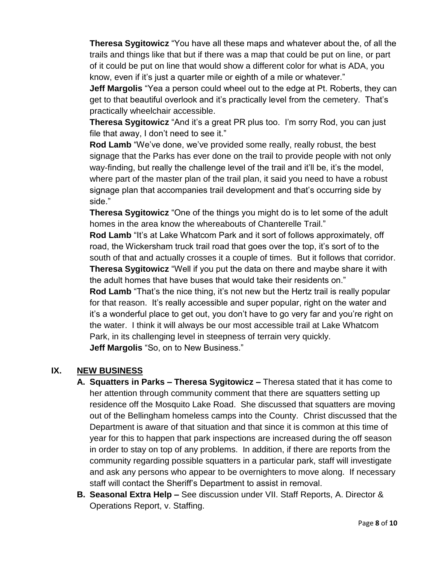**Theresa Sygitowicz** "You have all these maps and whatever about the, of all the trails and things like that but if there was a map that could be put on line, or part of it could be put on line that would show a different color for what is ADA, you know, even if it's just a quarter mile or eighth of a mile or whatever."

**Jeff Margolis** "Yea a person could wheel out to the edge at Pt. Roberts, they can get to that beautiful overlook and it's practically level from the cemetery. That's practically wheelchair accessible.

**Theresa Sygitowicz** "And it's a great PR plus too. I'm sorry Rod, you can just file that away, I don't need to see it."

**Rod Lamb** "We've done, we've provided some really, really robust, the best signage that the Parks has ever done on the trail to provide people with not only way-finding, but really the challenge level of the trail and it'll be, it's the model, where part of the master plan of the trail plan, it said you need to have a robust signage plan that accompanies trail development and that's occurring side by side."

**Theresa Sygitowicz** "One of the things you might do is to let some of the adult homes in the area know the whereabouts of Chanterelle Trail."

**Rod Lamb** "It's at Lake Whatcom Park and it sort of follows approximately, off road, the Wickersham truck trail road that goes over the top, it's sort of to the south of that and actually crosses it a couple of times. But it follows that corridor. **Theresa Sygitowicz** "Well if you put the data on there and maybe share it with the adult homes that have buses that would take their residents on."

**Rod Lamb** "That's the nice thing, it's not new but the Hertz trail is really popular for that reason. It's really accessible and super popular, right on the water and it's a wonderful place to get out, you don't have to go very far and you're right on the water. I think it will always be our most accessible trail at Lake Whatcom Park, in its challenging level in steepness of terrain very quickly. **Jeff Margolis** "So, on to New Business."

## **IX. NEW BUSINESS**

- **A. Squatters in Parks – Theresa Sygitowicz –** Theresa stated that it has come to her attention through community comment that there are squatters setting up residence off the Mosquito Lake Road. She discussed that squatters are moving out of the Bellingham homeless camps into the County. Christ discussed that the Department is aware of that situation and that since it is common at this time of year for this to happen that park inspections are increased during the off season in order to stay on top of any problems. In addition, if there are reports from the community regarding possible squatters in a particular park, staff will investigate and ask any persons who appear to be overnighters to move along. If necessary staff will contact the Sheriff's Department to assist in removal.
- **B. Seasonal Extra Help –** See discussion under VII. Staff Reports, A. Director & Operations Report, v. Staffing.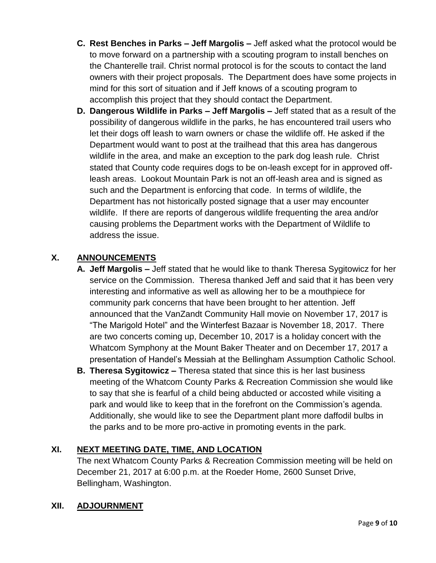- **C. Rest Benches in Parks – Jeff Margolis –** Jeff asked what the protocol would be to move forward on a partnership with a scouting program to install benches on the Chanterelle trail. Christ normal protocol is for the scouts to contact the land owners with their project proposals. The Department does have some projects in mind for this sort of situation and if Jeff knows of a scouting program to accomplish this project that they should contact the Department.
- **D. Dangerous Wildlife in Parks – Jeff Margolis –** Jeff stated that as a result of the possibility of dangerous wildlife in the parks, he has encountered trail users who let their dogs off leash to warn owners or chase the wildlife off. He asked if the Department would want to post at the trailhead that this area has dangerous wildlife in the area, and make an exception to the park dog leash rule. Christ stated that County code requires dogs to be on-leash except for in approved offleash areas. Lookout Mountain Park is not an off-leash area and is signed as such and the Department is enforcing that code. In terms of wildlife, the Department has not historically posted signage that a user may encounter wildlife. If there are reports of dangerous wildlife frequenting the area and/or causing problems the Department works with the Department of Wildlife to address the issue.

# **X. ANNOUNCEMENTS**

- **A. Jeff Margolis –** Jeff stated that he would like to thank Theresa Sygitowicz for her service on the Commission. Theresa thanked Jeff and said that it has been very interesting and informative as well as allowing her to be a mouthpiece for community park concerns that have been brought to her attention. Jeff announced that the VanZandt Community Hall movie on November 17, 2017 is "The Marigold Hotel" and the Winterfest Bazaar is November 18, 2017. There are two concerts coming up, December 10, 2017 is a holiday concert with the Whatcom Symphony at the Mount Baker Theater and on December 17, 2017 a presentation of Handel's Messiah at the Bellingham Assumption Catholic School.
- **B. Theresa Sygitowicz –** Theresa stated that since this is her last business meeting of the Whatcom County Parks & Recreation Commission she would like to say that she is fearful of a child being abducted or accosted while visiting a park and would like to keep that in the forefront on the Commission's agenda. Additionally, she would like to see the Department plant more daffodil bulbs in the parks and to be more pro-active in promoting events in the park.

## **XI. NEXT MEETING DATE, TIME, AND LOCATION**

The next Whatcom County Parks & Recreation Commission meeting will be held on December 21, 2017 at 6:00 p.m. at the Roeder Home, 2600 Sunset Drive, Bellingham, Washington.

## **XII. ADJOURNMENT**